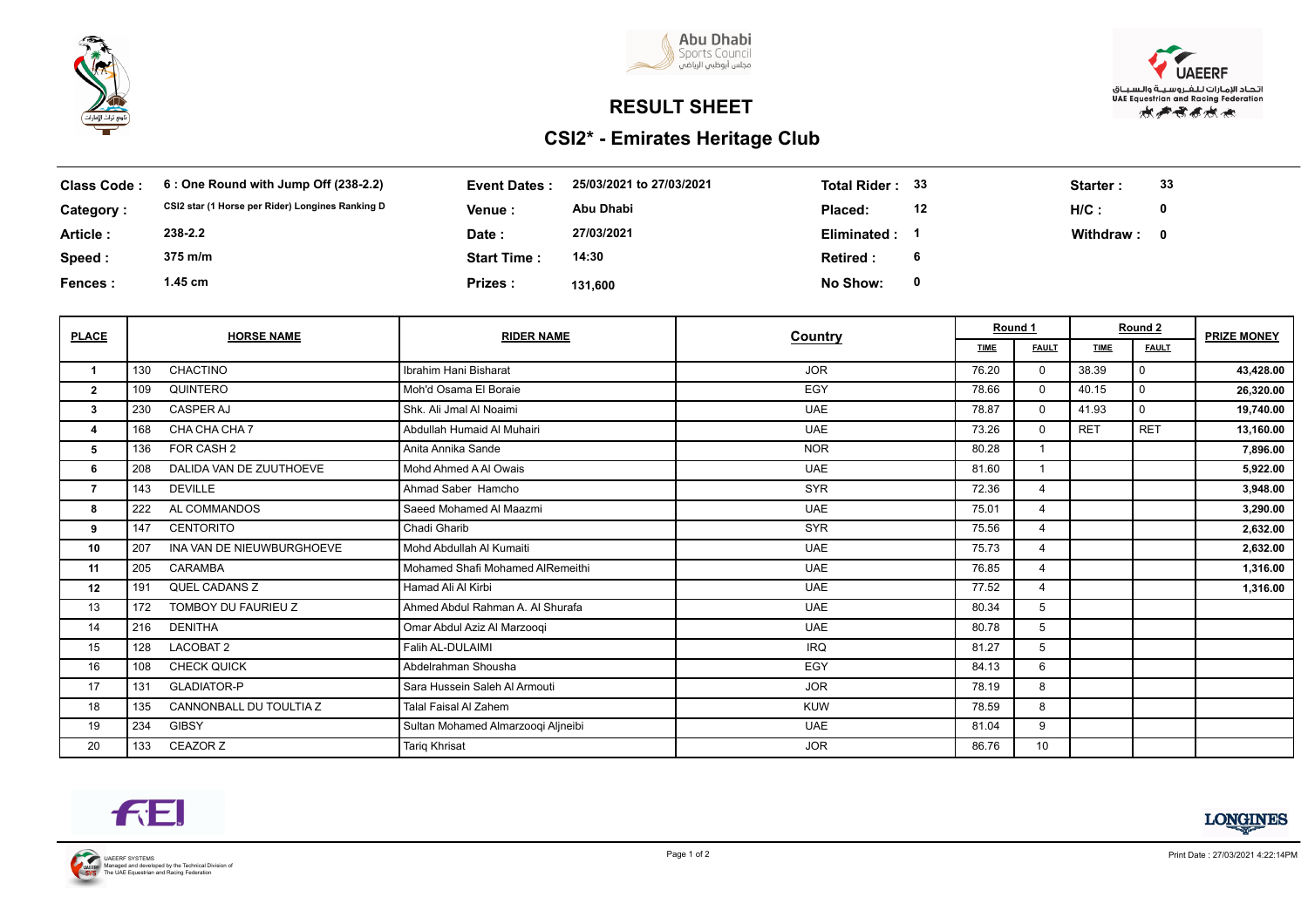



## **RESULT SHEET**

## **CSI2\* - Emirates Heritage Club**



| <b>Class Code:</b> | 6 : One Round with Jump Off (238-2.2)            | <b>Event Dates:</b> | 25/03/2021 to 27/03/2021 | <b>Total Rider:</b> | - 33 | Starter : | 33 |
|--------------------|--------------------------------------------------|---------------------|--------------------------|---------------------|------|-----------|----|
| Category:          | CSI2 star (1 Horse per Rider) Longines Ranking D | <b>Venue :</b>      | Abu Dhabi                | Placed:             | 12   | $H/C$ :   | 0  |
| Article:           | 238-2.2                                          | Date :              | 27/03/2021               | Eliminated :        |      | Withdraw: | 0  |
| Speed:             | 375 m/m                                          | <b>Start Time:</b>  | 14:30                    | Retired:            |      |           |    |
| <b>Fences:</b>     | 1.45 cm                                          | Prizes:             | 131.600                  | No Show:            | 0    |           |    |

| <b>PLACE</b>            | <b>HORSE NAME</b>                | <b>RIDER NAME</b>                  | Country    | Round 1     |                | Round 2     |              | <b>PRIZE MONEY</b> |
|-------------------------|----------------------------------|------------------------------------|------------|-------------|----------------|-------------|--------------|--------------------|
|                         |                                  |                                    |            | <b>TIME</b> | <b>FAULT</b>   | <b>TIME</b> | <b>FAULT</b> |                    |
| $\overline{\mathbf{1}}$ | CHACTINO<br>130                  | Ibrahim Hani Bisharat              | <b>JOR</b> | 76.20       | $\Omega$       | 38.39       | $\Omega$     | 43,428.00          |
| $\mathbf{2}$            | QUINTERO<br>109                  | Moh'd Osama El Boraie              | EGY        | 78.66       | $\Omega$       | 40.15       | $\Omega$     | 26,320.00          |
| 3                       | 230<br><b>CASPER AJ</b>          | Shk. Ali Jmal Al Noaimi            | <b>UAE</b> | 78.87       | $\Omega$       | 41.93       | $\Omega$     | 19,740.00          |
| 4                       | CHA CHA CHA 7<br>168             | Abdullah Humaid Al Muhairi         | <b>UAE</b> | 73.26       | $\Omega$       | <b>RET</b>  | <b>RET</b>   | 13,160.00          |
| 5                       | FOR CASH 2<br>136                | Anita Annika Sande                 | <b>NOR</b> | 80.28       |                |             |              | 7,896.00           |
| 6                       | DALIDA VAN DE ZUUTHOEVE<br>208   | Mohd Ahmed A AI Owais              | <b>UAE</b> | 81.60       |                |             |              | 5,922.00           |
| $\overline{7}$          | <b>DEVILLE</b><br>143            | Ahmad Saber Hamcho                 | <b>SYR</b> | 72.36       | $\overline{4}$ |             |              | 3,948.00           |
| 8                       | AL COMMANDOS<br>222              | Saeed Mohamed Al Maazmi            | <b>UAE</b> | 75.01       | 4              |             |              | 3,290.00           |
| 9                       | <b>CENTORITO</b><br>147          | Chadi Gharib                       | <b>SYR</b> | 75.56       | $\overline{4}$ |             |              | 2,632.00           |
| 10                      | INA VAN DE NIEUWBURGHOEVE<br>207 | Mohd Abdullah Al Kumaiti           | <b>UAE</b> | 75.73       | $\overline{4}$ |             |              | 2,632.00           |
| 11                      | CARAMBA<br>205                   | Mohamed Shafi Mohamed AlRemeithi   | <b>UAE</b> | 76.85       | $\overline{4}$ |             |              | 1,316.00           |
| 12                      | QUEL CADANS Z<br>191             | Hamad Ali Al Kirbi                 | <b>UAE</b> | 77.52       | $\overline{4}$ |             |              | 1,316.00           |
| 13                      | TOMBOY DU FAURIEU Z<br>172       | Ahmed Abdul Rahman A. Al Shurafa   | <b>UAE</b> | 80.34       | 5              |             |              |                    |
| 14                      | <b>DENITHA</b><br>216            | Omar Abdul Aziz Al Marzoogi        | <b>UAE</b> | 80.78       | 5              |             |              |                    |
| 15                      | LACOBAT 2<br>128                 | Falih AL-DULAIMI                   | <b>IRQ</b> | 81.27       | 5              |             |              |                    |
| 16                      | <b>CHECK QUICK</b><br>108        | Abdelrahman Shousha                | EGY        | 84.13       | 6              |             |              |                    |
| 17                      | <b>GLADIATOR-P</b><br>131        | Sara Hussein Saleh Al Armouti      | <b>JOR</b> | 78.19       | 8              |             |              |                    |
| 18                      | CANNONBALL DU TOULTIA Z<br>135   | <b>Talal Faisal AI Zahem</b>       | <b>KUW</b> | 78.59       | 8              |             |              |                    |
| 19                      | <b>GIBSY</b><br>234              | Sultan Mohamed Almarzoogi Aljneibi | <b>UAE</b> | 81.04       | 9              |             |              |                    |
| 20                      | CEAZOR Z<br>133                  | <b>Tarig Khrisat</b>               | <b>JOR</b> | 86.76       | 10             |             |              |                    |